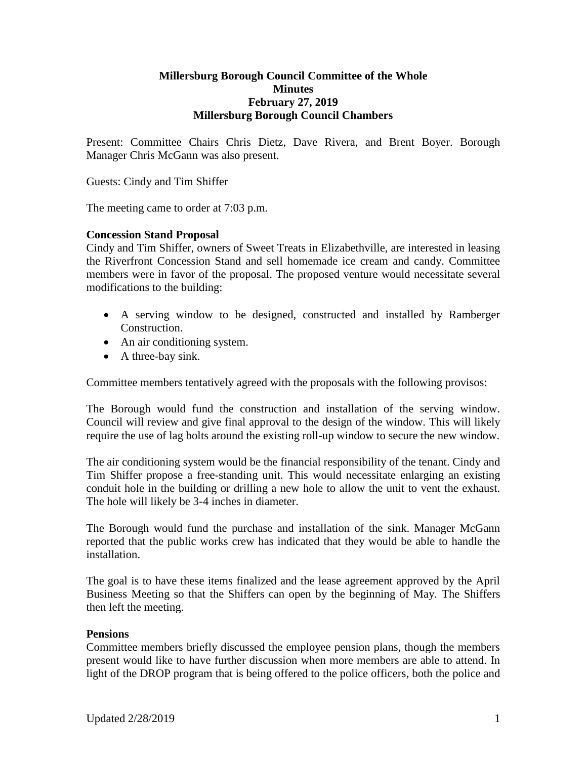#### **Millersburg Borough Council Committee of the Whole Minutes February 27, 2019 Millersburg Borough Council Chambers**

Present: Committee Chairs Chris Dietz, Dave Rivera, and Brent Boyer. Borough Manager Chris McGann was also present.

Guests: Cindy and Tim Shiffer

The meeting came to order at 7:03 p.m.

### **Concession Stand Proposal**

Cindy and Tim Shiffer, owners of Sweet Treats in Elizabethville, are interested in leasing the Riverfront Concession Stand and sell homemade ice cream and candy. Committee members were in favor of the proposal. The proposed venture would necessitate several modifications to the building:

- A serving window to be designed, constructed and installed by Ramberger Construction.
- An air conditioning system.
- A three-bay sink.

Committee members tentatively agreed with the proposals with the following provisos:

The Borough would fund the construction and installation of the serving window. Council will review and give final approval to the design of the window. This will likely require the use of lag bolts around the existing roll-up window to secure the new window.

The air conditioning system would be the financial responsibility of the tenant. Cindy and Tim Shiffer propose a free-standing unit. This would necessitate enlarging an existing conduit hole in the building or drilling a new hole to allow the unit to vent the exhaust. The hole will likely be 3-4 inches in diameter.

The Borough would fund the purchase and installation of the sink. Manager McGann reported that the public works crew has indicated that they would be able to handle the installation.

The goal is to have these items finalized and the lease agreement approved by the April Business Meeting so that the Shiffers can open by the beginning of May. The Shiffers then left the meeting.

#### **Pensions**

Committee members briefly discussed the employee pension plans, though the members present would like to have further discussion when more members are able to attend. In light of the DROP program that is being offered to the police officers, both the police and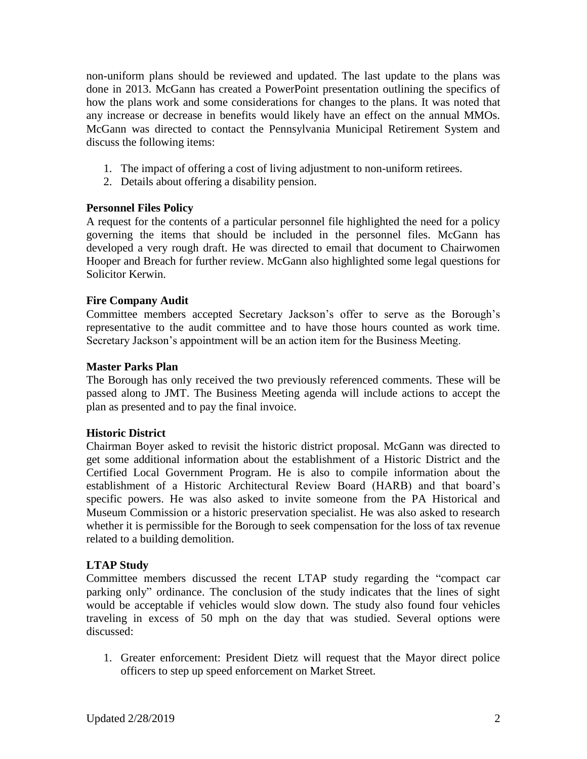non-uniform plans should be reviewed and updated. The last update to the plans was done in 2013. McGann has created a PowerPoint presentation outlining the specifics of how the plans work and some considerations for changes to the plans. It was noted that any increase or decrease in benefits would likely have an effect on the annual MMOs. McGann was directed to contact the Pennsylvania Municipal Retirement System and discuss the following items:

- 1. The impact of offering a cost of living adjustment to non-uniform retirees.
- 2. Details about offering a disability pension.

## **Personnel Files Policy**

A request for the contents of a particular personnel file highlighted the need for a policy governing the items that should be included in the personnel files. McGann has developed a very rough draft. He was directed to email that document to Chairwomen Hooper and Breach for further review. McGann also highlighted some legal questions for Solicitor Kerwin.

# **Fire Company Audit**

Committee members accepted Secretary Jackson's offer to serve as the Borough's representative to the audit committee and to have those hours counted as work time. Secretary Jackson's appointment will be an action item for the Business Meeting.

## **Master Parks Plan**

The Borough has only received the two previously referenced comments. These will be passed along to JMT. The Business Meeting agenda will include actions to accept the plan as presented and to pay the final invoice.

## **Historic District**

Chairman Boyer asked to revisit the historic district proposal. McGann was directed to get some additional information about the establishment of a Historic District and the Certified Local Government Program. He is also to compile information about the establishment of a Historic Architectural Review Board (HARB) and that board's specific powers. He was also asked to invite someone from the PA Historical and Museum Commission or a historic preservation specialist. He was also asked to research whether it is permissible for the Borough to seek compensation for the loss of tax revenue related to a building demolition.

## **LTAP Study**

Committee members discussed the recent LTAP study regarding the "compact car parking only" ordinance. The conclusion of the study indicates that the lines of sight would be acceptable if vehicles would slow down. The study also found four vehicles traveling in excess of 50 mph on the day that was studied. Several options were discussed:

1. Greater enforcement: President Dietz will request that the Mayor direct police officers to step up speed enforcement on Market Street.